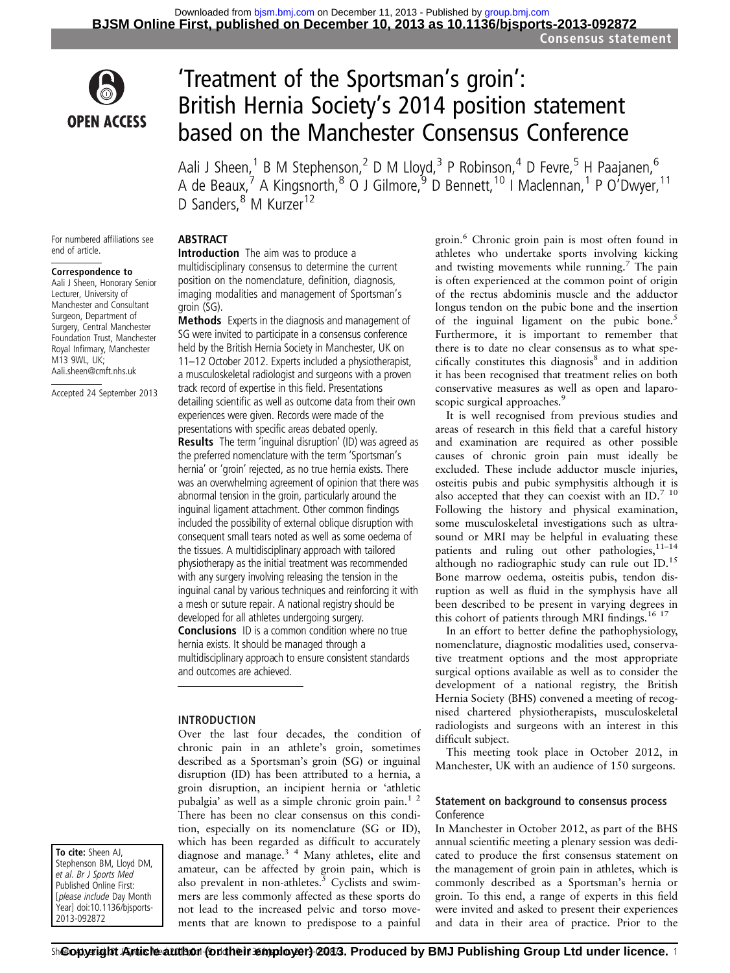

# 'Treatment of the Sportsman's groin' : British Hernia Society's 2014 position statement based on the Manchester Consensus Conference

Aali J Sheen,<sup>1</sup> B M Stephenson,<sup>2</sup> D M Lloyd,<sup>3</sup> P Robinson,<sup>4</sup> D Fevre,<sup>5</sup> H Paajanen,<sup>6</sup> A de Beaux,<sup>7</sup> A Kingsnorth,<sup>8</sup> O J Gilmore,<sup>9</sup> D Bennett,<sup>10</sup> I Maclennan,<sup>1</sup> P O'Dwyer,<sup>11</sup> D Sanders, <sup>8</sup> M Kurzer<sup>12</sup>

For numbered affiliations see end of article.

#### Correspondence to

Aali J Sheen, Honorary Senior Lecturer, University of Manchester and Consultant Surgeon, Department of Surgery, Central Manchester Foundation Trust, Manchester Royal Infirmary, Manchester M13 9WL, UK; Aali.sheen@cmft.nhs.uk

Accepted 24 September 2013

To cite: Sheen AJ, Stephenson BM, Lloyd DM, et al. Br J Sports Med Published Online First: [please include Day Month Year] doi:10.1136/bjsports-2013-092872

## **ABSTRACT**

Introduction The aim was to produce a multidisciplinary consensus to determine the current position on the nomenclature, definition, diagnosis, imaging modalities and management of Sportsman's groin (SG).

Methods Experts in the diagnosis and management of SG were invited to participate in a consensus conference held by the British Hernia Society in Manchester, UK on 11–12 October 2012. Experts included a physiotherapist, a musculoskeletal radiologist and surgeons with a proven track record of expertise in this field. Presentations detailing scientific as well as outcome data from their own experiences were given. Records were made of the presentations with specific areas debated openly. Results The term 'inguinal disruption' (ID) was agreed as the preferred nomenclature with the term 'Sportsman's hernia' or 'groin' rejected, as no true hernia exists. There was an overwhelming agreement of opinion that there was abnormal tension in the groin, particularly around the inguinal ligament attachment. Other common findings included the possibility of external oblique disruption with consequent small tears noted as well as some oedema of the tissues. A multidisciplinary approach with tailored physiotherapy as the initial treatment was recommended with any surgery involving releasing the tension in the inguinal canal by various techniques and reinforcing it with a mesh or suture repair. A national registry should be developed for all athletes undergoing surgery. **Conclusions** ID is a common condition where no true hernia exists. It should be managed through a multidisciplinary approach to ensure consistent standards and outcomes are achieved.

INTRODUCTION

Over the last four decades, the condition of chronic pain in an athlete's groin, sometimes described as a Sportsman's groin (SG) or inguinal disruption (ID) has been attributed to a hernia, a groin disruption, an incipient hernia or 'athletic pubalgia' as well as a simple chronic groin pain.<sup>1</sup> <sup>2</sup> There has been no clear consensus on this condition, especially on its nomenclature (SG or ID), which has been regarded as difficult to accurately diagnose and manage.3 4 Many athletes, elite and amateur, can be affected by groin pain, which is also prevalent in non-athletes.<sup>5</sup> Cyclists and swimmers are less commonly affected as these sports do not lead to the increased pelvic and torso movements that are known to predispose to a painful

groin.<sup>6</sup> Chronic groin pain is most often found in athletes who undertake sports involving kicking and twisting movements while running.7 The pain is often experienced at the common point of origin of the rectus abdominis muscle and the adductor longus tendon on the pubic bone and the insertion of the inguinal ligament on the pubic bone.<sup>5</sup> Furthermore, it is important to remember that there is to date no clear consensus as to what spe $cifically$  constitutes this diagnosis $8$  and in addition it has been recognised that treatment relies on both conservative measures as well as open and laparoscopic surgical approaches.<sup>9</sup>

It is well recognised from previous studies and areas of research in this field that a careful history and examination are required as other possible causes of chronic groin pain must ideally be excluded. These include adductor muscle injuries, osteitis pubis and pubic symphysitis although it is also accepted that they can coexist with an  $ID.^{7}$  <sup>10</sup> Following the history and physical examination, some musculoskeletal investigations such as ultrasound or MRI may be helpful in evaluating these patients and ruling out other pathologies,  $11-14$ although no radiographic study can rule out ID.<sup>15</sup> Bone marrow oedema, osteitis pubis, tendon disruption as well as fluid in the symphysis have all been described to be present in varying degrees in this cohort of patients through MRI findings.<sup>16 17</sup>

In an effort to better define the pathophysiology, nomenclature, diagnostic modalities used, conservative treatment options and the most appropriate surgical options available as well as to consider the development of a national registry, the British Hernia Society (BHS) convened a meeting of recognised chartered physiotherapists, musculoskeletal radiologists and surgeons with an interest in this difficult subject.

This meeting took place in October 2012, in Manchester, UK with an audience of 150 surgeons.

## Statement on background to consensus process Conference

In Manchester in October 2012, as part of the BHS annual scientific meeting a plenary session was dedicated to produce the first consensus statement on the management of groin pain in athletes, which is commonly described as a Sportsman's hernia or groin. To this end, a range of experts in this field were invited and asked to present their experiences and data in their area of practice. Prior to the

Տի**©opyright Article author (ordheir employer) 2013. Produced by BMJ Publishing Group Ltd under licence.** 1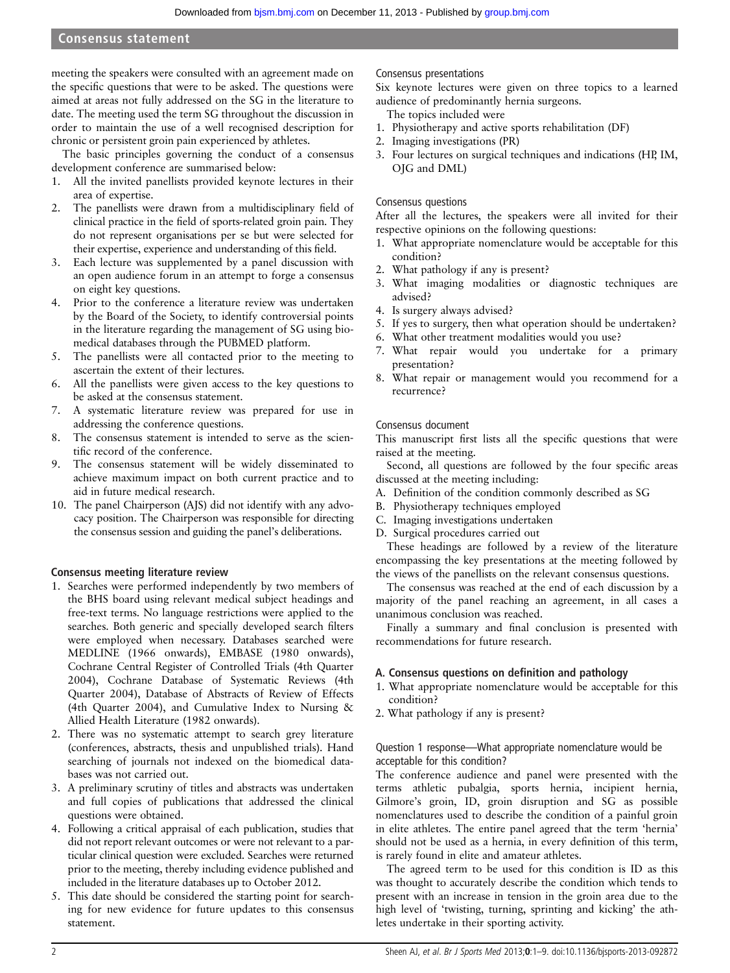meeting the speakers were consulted with an agreement made on the specific questions that were to be asked. The questions were aimed at areas not fully addressed on the SG in the literature to date. The meeting used the term SG throughout the discussion in order to maintain the use of a well recognised description for chronic or persistent groin pain experienced by athletes.

The basic principles governing the conduct of a consensus development conference are summarised below:

- 1. All the invited panellists provided keynote lectures in their area of expertise.
- 2. The panellists were drawn from a multidisciplinary field of clinical practice in the field of sports-related groin pain. They do not represent organisations per se but were selected for their expertise, experience and understanding of this field.
- 3. Each lecture was supplemented by a panel discussion with an open audience forum in an attempt to forge a consensus on eight key questions.
- 4. Prior to the conference a literature review was undertaken by the Board of the Society, to identify controversial points in the literature regarding the management of SG using biomedical databases through the PUBMED platform.
- 5. The panellists were all contacted prior to the meeting to ascertain the extent of their lectures.
- 6. All the panellists were given access to the key questions to be asked at the consensus statement.
- 7. A systematic literature review was prepared for use in addressing the conference questions.
- 8. The consensus statement is intended to serve as the scientific record of the conference.
- 9. The consensus statement will be widely disseminated to achieve maximum impact on both current practice and to aid in future medical research.
- 10. The panel Chairperson (AJS) did not identify with any advocacy position. The Chairperson was responsible for directing the consensus session and guiding the panel's deliberations.

## Consensus meeting literature review

- 1. Searches were performed independently by two members of the BHS board using relevant medical subject headings and free-text terms. No language restrictions were applied to the searches. Both generic and specially developed search filters were employed when necessary. Databases searched were MEDLINE (1966 onwards), EMBASE (1980 onwards), Cochrane Central Register of Controlled Trials (4th Quarter 2004), Cochrane Database of Systematic Reviews (4th Quarter 2004), Database of Abstracts of Review of Effects (4th Quarter 2004), and Cumulative Index to Nursing & Allied Health Literature (1982 onwards).
- 2. There was no systematic attempt to search grey literature (conferences, abstracts, thesis and unpublished trials). Hand searching of journals not indexed on the biomedical databases was not carried out.
- 3. A preliminary scrutiny of titles and abstracts was undertaken and full copies of publications that addressed the clinical questions were obtained.
- 4. Following a critical appraisal of each publication, studies that did not report relevant outcomes or were not relevant to a particular clinical question were excluded. Searches were returned prior to the meeting, thereby including evidence published and included in the literature databases up to October 2012.
- 5. This date should be considered the starting point for searching for new evidence for future updates to this consensus statement.

## Consensus presentations

Six keynote lectures were given on three topics to a learned audience of predominantly hernia surgeons.

- The topics included were
- 1. Physiotherapy and active sports rehabilitation (DF)
- 2. Imaging investigations (PR)
- 3. Four lectures on surgical techniques and indications (HP, IM, OJG and DML)

## Consensus questions

After all the lectures, the speakers were all invited for their respective opinions on the following questions:

- 1. What appropriate nomenclature would be acceptable for this condition?
- 2. What pathology if any is present?
- 3. What imaging modalities or diagnostic techniques are advised?
- 4. Is surgery always advised?
- 5. If yes to surgery, then what operation should be undertaken?
- 6. What other treatment modalities would you use?
- 7. What repair would you undertake for a primary presentation?
- 8. What repair or management would you recommend for a recurrence?

## Consensus document

This manuscript first lists all the specific questions that were raised at the meeting.

Second, all questions are followed by the four specific areas discussed at the meeting including:

- A. Definition of the condition commonly described as SG
- B. Physiotherapy techniques employed
- C. Imaging investigations undertaken
- D. Surgical procedures carried out

These headings are followed by a review of the literature encompassing the key presentations at the meeting followed by the views of the panellists on the relevant consensus questions.

The consensus was reached at the end of each discussion by a majority of the panel reaching an agreement, in all cases a unanimous conclusion was reached.

Finally a summary and final conclusion is presented with recommendations for future research.

## A. Consensus questions on definition and pathology

- 1. What appropriate nomenclature would be acceptable for this condition?
- 2. What pathology if any is present?

## Question 1 response—What appropriate nomenclature would be acceptable for this condition?

The conference audience and panel were presented with the terms athletic pubalgia, sports hernia, incipient hernia, Gilmore's groin, ID, groin disruption and SG as possible nomenclatures used to describe the condition of a painful groin in elite athletes. The entire panel agreed that the term 'hernia' should not be used as a hernia, in every definition of this term, is rarely found in elite and amateur athletes.

The agreed term to be used for this condition is ID as this was thought to accurately describe the condition which tends to present with an increase in tension in the groin area due to the high level of 'twisting, turning, sprinting and kicking' the athletes undertake in their sporting activity.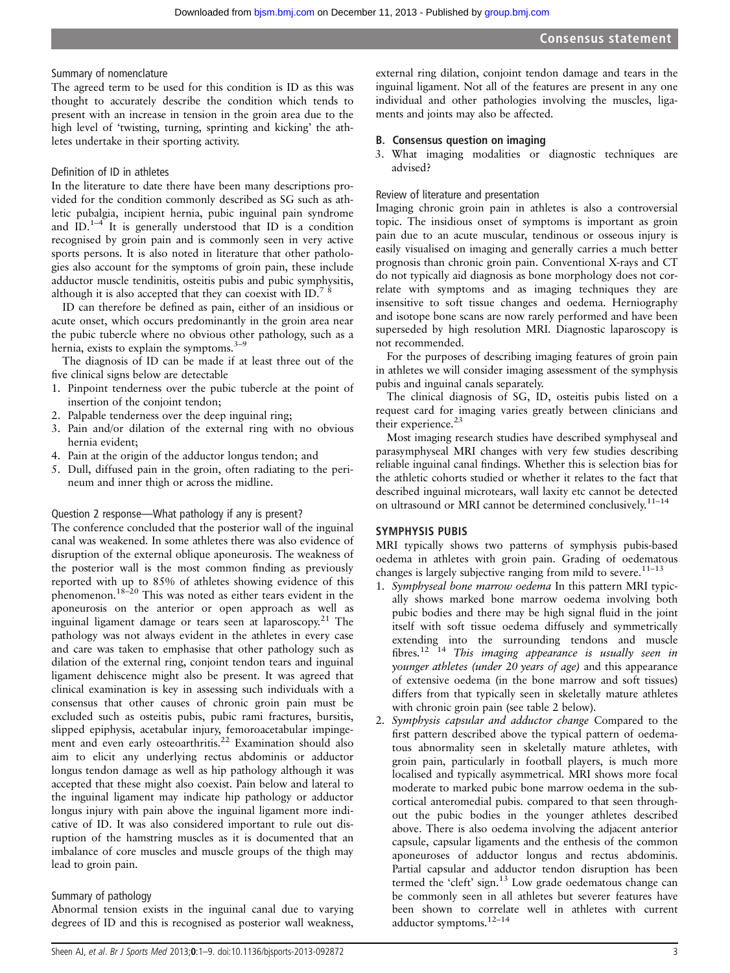## Summary of nomenclature

The agreed term to be used for this condition is ID as this was thought to accurately describe the condition which tends to present with an increase in tension in the groin area due to the high level of 'twisting, turning, sprinting and kicking' the athletes undertake in their sporting activity.

## Definition of ID in athletes

In the literature to date there have been many descriptions provided for the condition commonly described as SG such as athletic pubalgia, incipient hernia, pubic inguinal pain syndrome and  $ID^{1-4}$  It is generally understood that ID is a condition recognised by groin pain and is commonly seen in very active sports persons. It is also noted in literature that other pathologies also account for the symptoms of groin pain, these include adductor muscle tendinitis, osteitis pubis and pubic symphysitis, although it is also accepted that they can coexist with ID.<sup>7 8</sup>

ID can therefore be defined as pain, either of an insidious or acute onset, which occurs predominantly in the groin area near the pubic tubercle where no obvious other pathology, such as a hernia, exists to explain the symptoms. $3-9$ 

The diagnosis of ID can be made if at least three out of the five clinical signs below are detectable

- 1. Pinpoint tenderness over the pubic tubercle at the point of insertion of the conjoint tendon;
- 2. Palpable tenderness over the deep inguinal ring;
- 3. Pain and/or dilation of the external ring with no obvious hernia evident;
- 4. Pain at the origin of the adductor longus tendon; and
- 5. Dull, diffused pain in the groin, often radiating to the perineum and inner thigh or across the midline.

#### Question 2 response—What pathology if any is present?

The conference concluded that the posterior wall of the inguinal canal was weakened. In some athletes there was also evidence of disruption of the external oblique aponeurosis. The weakness of the posterior wall is the most common finding as previously reported with up to 85% of athletes showing evidence of this phenomenon.18–<sup>20</sup> This was noted as either tears evident in the aponeurosis on the anterior or open approach as well as inguinal ligament damage or tears seen at laparoscopy.<sup>21</sup> The pathology was not always evident in the athletes in every case and care was taken to emphasise that other pathology such as dilation of the external ring, conjoint tendon tears and inguinal ligament dehiscence might also be present. It was agreed that clinical examination is key in assessing such individuals with a consensus that other causes of chronic groin pain must be excluded such as osteitis pubis, pubic rami fractures, bursitis, slipped epiphysis, acetabular injury, femoroacetabular impingement and even early osteoarthritis.<sup>22</sup> Examination should also aim to elicit any underlying rectus abdominis or adductor longus tendon damage as well as hip pathology although it was accepted that these might also coexist. Pain below and lateral to the inguinal ligament may indicate hip pathology or adductor longus injury with pain above the inguinal ligament more indicative of ID. It was also considered important to rule out disruption of the hamstring muscles as it is documented that an imbalance of core muscles and muscle groups of the thigh may lead to groin pain.

## Summary of pathology

Abnormal tension exists in the inguinal canal due to varying degrees of ID and this is recognised as posterior wall weakness,

external ring dilation, conjoint tendon damage and tears in the inguinal ligament. Not all of the features are present in any one individual and other pathologies involving the muscles, ligaments and joints may also be affected.

## B. Consensus question on imaging

3. What imaging modalities or diagnostic techniques are advised?

## Review of literature and presentation

Imaging chronic groin pain in athletes is also a controversial topic. The insidious onset of symptoms is important as groin pain due to an acute muscular, tendinous or osseous injury is easily visualised on imaging and generally carries a much better prognosis than chronic groin pain. Conventional X-rays and CT do not typically aid diagnosis as bone morphology does not correlate with symptoms and as imaging techniques they are insensitive to soft tissue changes and oedema. Herniography and isotope bone scans are now rarely performed and have been superseded by high resolution MRI. Diagnostic laparoscopy is not recommended.

For the purposes of describing imaging features of groin pain in athletes we will consider imaging assessment of the symphysis pubis and inguinal canals separately.

The clinical diagnosis of SG, ID, osteitis pubis listed on a request card for imaging varies greatly between clinicians and their experience.<sup>23</sup>

Most imaging research studies have described symphyseal and parasymphyseal MRI changes with very few studies describing reliable inguinal canal findings. Whether this is selection bias for the athletic cohorts studied or whether it relates to the fact that described inguinal microtears, wall laxity etc cannot be detected on ultrasound or MRI cannot be determined conclusively.11–<sup>14</sup>

## SYMPHYSIS PUBIS

MRI typically shows two patterns of symphysis pubis-based oedema in athletes with groin pain. Grading of oedematous changes is largely subjective ranging from mild to severe.<sup>11-13</sup>

- 1. Symphyseal bone marrow oedema In this pattern MRI typically shows marked bone marrow oedema involving both pubic bodies and there may be high signal fluid in the joint itself with soft tissue oedema diffusely and symmetrically extending into the surrounding tendons and muscle fibres.<sup>12 14</sup> This imaging appearance is usually seen in younger athletes (under 20 years of age) and this appearance of extensive oedema (in the bone marrow and soft tissues) differs from that typically seen in skeletally mature athletes with chronic groin pain (see table 2 below).
- 2. Symphysis capsular and adductor change Compared to the first pattern described above the typical pattern of oedematous abnormality seen in skeletally mature athletes, with groin pain, particularly in football players, is much more localised and typically asymmetrical. MRI shows more focal moderate to marked pubic bone marrow oedema in the subcortical anteromedial pubis. compared to that seen throughout the pubic bodies in the younger athletes described above. There is also oedema involving the adjacent anterior capsule, capsular ligaments and the enthesis of the common aponeuroses of adductor longus and rectus abdominis. Partial capsular and adductor tendon disruption has been termed the 'cleft' sign.<sup>13</sup> Low grade oedematous change can be commonly seen in all athletes but severer features have been shown to correlate well in athletes with current adductor symptoms.12–<sup>14</sup>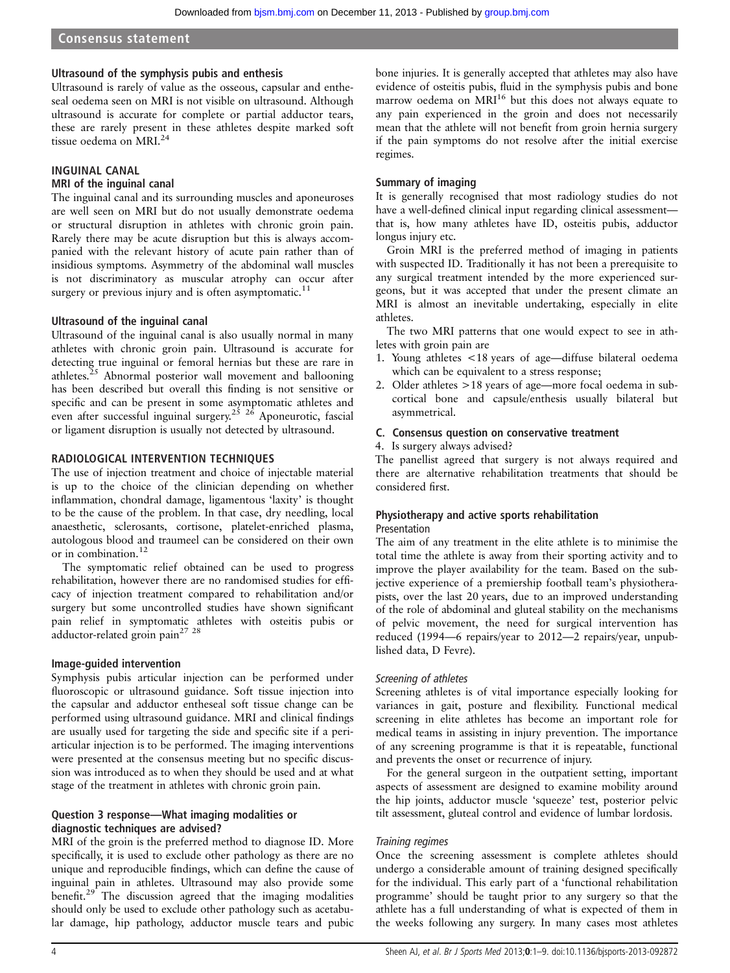#### Ultrasound of the symphysis pubis and enthesis

Ultrasound is rarely of value as the osseous, capsular and entheseal oedema seen on MRI is not visible on ultrasound. Although ultrasound is accurate for complete or partial adductor tears, these are rarely present in these athletes despite marked soft tissue oedema on MRI.24

## INGUINAL CANAL

## MRI of the inguinal canal

The inguinal canal and its surrounding muscles and aponeuroses are well seen on MRI but do not usually demonstrate oedema or structural disruption in athletes with chronic groin pain. Rarely there may be acute disruption but this is always accompanied with the relevant history of acute pain rather than of insidious symptoms. Asymmetry of the abdominal wall muscles is not discriminatory as muscular atrophy can occur after surgery or previous injury and is often asymptomatic.<sup>11</sup>

#### Ultrasound of the inguinal canal

Ultrasound of the inguinal canal is also usually normal in many athletes with chronic groin pain. Ultrasound is accurate for detecting true inguinal or femoral hernias but these are rare in athletes. $25$  Abnormal posterior wall movement and ballooning has been described but overall this finding is not sensitive or specific and can be present in some asymptomatic athletes and specific and can be present in some asymptons access  $\frac{m}{2}$  even after successful inguinal surgery.<sup>25 26</sup> Aponeurotic, fascial or ligament disruption is usually not detected by ultrasound.

## RADIOLOGICAL INTERVENTION TECHNIQUES

The use of injection treatment and choice of injectable material is up to the choice of the clinician depending on whether inflammation, chondral damage, ligamentous 'laxity' is thought to be the cause of the problem. In that case, dry needling, local anaesthetic, sclerosants, cortisone, platelet-enriched plasma, autologous blood and traumeel can be considered on their own or in combination.<sup>12</sup>

The symptomatic relief obtained can be used to progress rehabilitation, however there are no randomised studies for efficacy of injection treatment compared to rehabilitation and/or surgery but some uncontrolled studies have shown significant pain relief in symptomatic athletes with osteitis pubis or adductor-related groin pain<sup>27</sup><sup>28</sup>

#### Image-guided intervention

Symphysis pubis articular injection can be performed under fluoroscopic or ultrasound guidance. Soft tissue injection into the capsular and adductor entheseal soft tissue change can be performed using ultrasound guidance. MRI and clinical findings are usually used for targeting the side and specific site if a periarticular injection is to be performed. The imaging interventions were presented at the consensus meeting but no specific discussion was introduced as to when they should be used and at what stage of the treatment in athletes with chronic groin pain.

## Question 3 response—What imaging modalities or diagnostic techniques are advised?

MRI of the groin is the preferred method to diagnose ID. More specifically, it is used to exclude other pathology as there are no unique and reproducible findings, which can define the cause of inguinal pain in athletes. Ultrasound may also provide some benefit.<sup>29</sup> The discussion agreed that the imaging modalities should only be used to exclude other pathology such as acetabular damage, hip pathology, adductor muscle tears and pubic bone injuries. It is generally accepted that athletes may also have evidence of osteitis pubis, fluid in the symphysis pubis and bone marrow oedema on  $MRI<sup>16</sup>$  but this does not always equate to any pain experienced in the groin and does not necessarily mean that the athlete will not benefit from groin hernia surgery if the pain symptoms do not resolve after the initial exercise regimes.

## Summary of imaging

It is generally recognised that most radiology studies do not have a well-defined clinical input regarding clinical assessment that is, how many athletes have ID, osteitis pubis, adductor longus injury etc.

Groin MRI is the preferred method of imaging in patients with suspected ID. Traditionally it has not been a prerequisite to any surgical treatment intended by the more experienced surgeons, but it was accepted that under the present climate an MRI is almost an inevitable undertaking, especially in elite athletes.

The two MRI patterns that one would expect to see in athletes with groin pain are

- 1. Young athletes <18 years of age—diffuse bilateral oedema which can be equivalent to a stress response;
- 2. Older athletes >18 years of age—more focal oedema in subcortical bone and capsule/enthesis usually bilateral but asymmetrical.

## C. Consensus question on conservative treatment

## 4. Is surgery always advised?

The panellist agreed that surgery is not always required and there are alternative rehabilitation treatments that should be considered first.

## Physiotherapy and active sports rehabilitation Presentation

The aim of any treatment in the elite athlete is to minimise the total time the athlete is away from their sporting activity and to improve the player availability for the team. Based on the subjective experience of a premiership football team's physiotherapists, over the last 20 years, due to an improved understanding of the role of abdominal and gluteal stability on the mechanisms of pelvic movement, the need for surgical intervention has reduced (1994—6 repairs/year to 2012—2 repairs/year, unpublished data, D Fevre).

#### Screening of athletes

Screening athletes is of vital importance especially looking for variances in gait, posture and flexibility. Functional medical screening in elite athletes has become an important role for medical teams in assisting in injury prevention. The importance of any screening programme is that it is repeatable, functional and prevents the onset or recurrence of injury.

For the general surgeon in the outpatient setting, important aspects of assessment are designed to examine mobility around the hip joints, adductor muscle 'squeeze' test, posterior pelvic tilt assessment, gluteal control and evidence of lumbar lordosis.

#### Training regimes

Once the screening assessment is complete athletes should undergo a considerable amount of training designed specifically for the individual. This early part of a 'functional rehabilitation programme' should be taught prior to any surgery so that the athlete has a full understanding of what is expected of them in the weeks following any surgery. In many cases most athletes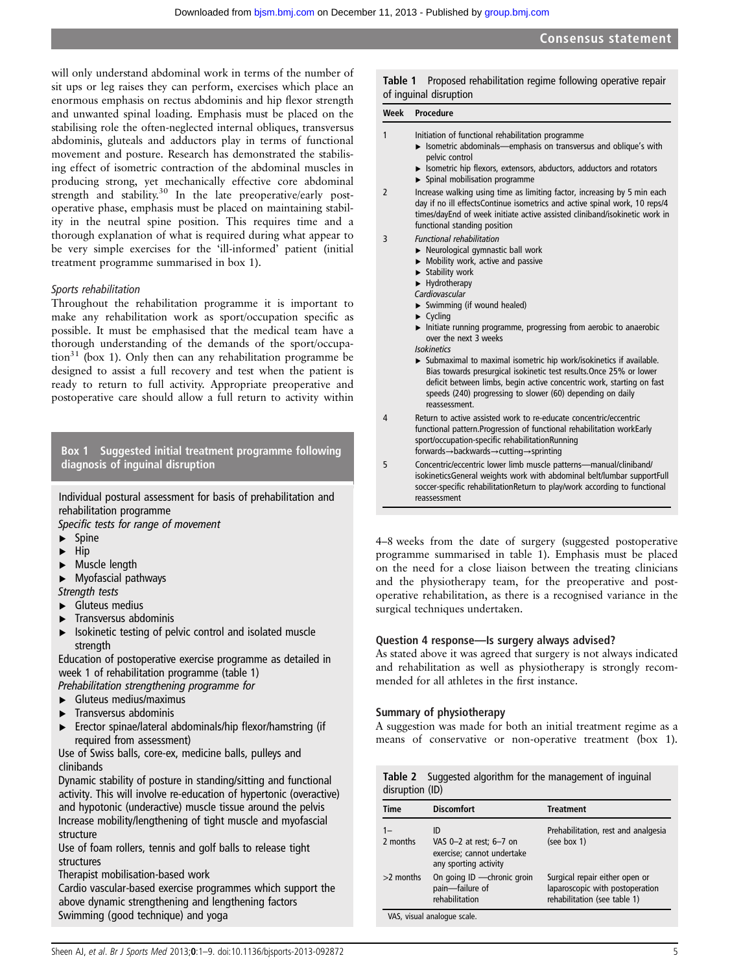will only understand abdominal work in terms of the number of sit ups or leg raises they can perform, exercises which place an enormous emphasis on rectus abdominis and hip flexor strength and unwanted spinal loading. Emphasis must be placed on the stabilising role the often-neglected internal obliques, transversus abdominis, gluteals and adductors play in terms of functional movement and posture. Research has demonstrated the stabilising effect of isometric contraction of the abdominal muscles in producing strong, yet mechanically effective core abdominal strength and stability.<sup>30</sup> In the late preoperative/early postoperative phase, emphasis must be placed on maintaining stability in the neutral spine position. This requires time and a thorough explanation of what is required during what appear to be very simple exercises for the 'ill-informed' patient (initial treatment programme summarised in box 1).

## Sports rehabilitation

Throughout the rehabilitation programme it is important to make any rehabilitation work as sport/occupation specific as possible. It must be emphasised that the medical team have a thorough understanding of the demands of the sport/occupa- $\[\text{tion}^{31}\]$  (box 1). Only then can any rehabilitation programme be designed to assist a full recovery and test when the patient is ready to return to full activity. Appropriate preoperative and postoperative care should allow a full return to activity within

Box 1 Suggested initial treatment programme following diagnosis of inguinal disruption

Individual postural assessment for basis of prehabilitation and rehabilitation programme

Specific tests for range of movement

- ▸ Spine
- ▸ Hip
- ▸ Muscle length
- ▸ Myofascial pathways

Strength tests

- ▸ Gluteus medius
- ▸ Transversus abdominis
- ▸ Isokinetic testing of pelvic control and isolated muscle strength

Education of postoperative exercise programme as detailed in week 1 of rehabilitation programme (table 1)

Prehabilitation strengthening programme for ▸ Gluteus medius/maximus

- ▸ Transversus abdominis
- ▸ Erector spinae/lateral abdominals/hip flexor/hamstring (if required from assessment)

Use of Swiss balls, core-ex, medicine balls, pulleys and clinibands

Dynamic stability of posture in standing/sitting and functional activity. This will involve re-education of hypertonic (overactive) and hypotonic (underactive) muscle tissue around the pelvis Increase mobility/lengthening of tight muscle and myofascial structure

Use of foam rollers, tennis and golf balls to release tight structures

Therapist mobilisation-based work

Cardio vascular-based exercise programmes which support the above dynamic strengthening and lengthening factors Swimming (good technique) and yoga

Table 1 Proposed rehabilitation regime following operative repair of inguinal disruption

#### Week Procedure

| Initiation of functional rehabilitation programme |
|---------------------------------------------------|
|                                                   |

- ▸ Isometric abdominals—emphasis on transversus and oblique's with pelvic control
	- ▸ Isometric hip flexors, extensors, abductors, adductors and rotators
- $\blacktriangleright$  Spinal mobilisation programme

2 Increase walking using time as limiting factor, increasing by 5 min each day if no ill effectsContinue isometrics and active spinal work, 10 reps/4 times/dayEnd of week initiate active assisted cliniband/isokinetic work in functional standing position

- 3 Functional rehabilitation
	- ▸ Neurological gymnastic ball work
	- $\blacktriangleright$  Mobility work, active and passive
	- ▶ Stability work

▸ Hydrotherapy

- Cardiovascular
- $\blacktriangleright$  Swimming (if wound healed)
- ▸ Cycling
- ▸ Initiate running programme, progressing from aerobic to anaerobic over the next 3 weeks Isokinetics
- ▸ Submaximal to maximal isometric hip work/isokinetics if available. Bias towards presurgical isokinetic test results.Once 25% or lower deficit between limbs, begin active concentric work, starting on fast speeds (240) progressing to slower (60) depending on daily reassessment.
- 4 Return to active assisted work to re-educate concentric/eccentric functional pattern.Progression of functional rehabilitation workEarly sport/occupation-specific rehabilitationRunning forwards→backwards→cutting→sprinting
- 5 Concentric/eccentric lower limb muscle patterns—manual/cliniband/ isokineticsGeneral weights work with abdominal belt/lumbar supportFull soccer-specific rehabilitationReturn to play/work according to functional reassessment

4–8 weeks from the date of surgery (suggested postoperative programme summarised in table 1). Emphasis must be placed on the need for a close liaison between the treating clinicians and the physiotherapy team, for the preoperative and postoperative rehabilitation, as there is a recognised variance in the surgical techniques undertaken.

## Question 4 response—Is surgery always advised?

As stated above it was agreed that surgery is not always indicated and rehabilitation as well as physiotherapy is strongly recommended for all athletes in the first instance.

## Summary of physiotherapy

A suggestion was made for both an initial treatment regime as a means of conservative or non-operative treatment (box 1).

|                 |  | Table 2 Suggested algorithm for the management of inguinal |  |
|-----------------|--|------------------------------------------------------------|--|
| disruption (ID) |  |                                                            |  |

| Time        | <b>Discomfort</b>                                                                    | Treatment                                                                                         |
|-------------|--------------------------------------------------------------------------------------|---------------------------------------------------------------------------------------------------|
| 2 months    | ID<br>VAS 0-2 at rest; 6-7 on<br>exercise; cannot undertake<br>any sporting activity | Prehabilitation, rest and analgesia<br>(see box 1)                                                |
| $>2$ months | On going ID - chronic groin<br>pain-failure of<br>rehabilitation                     | Surgical repair either open or<br>laparoscopic with postoperation<br>rehabilitation (see table 1) |
|             | VAS, visual analogue scale.                                                          |                                                                                                   |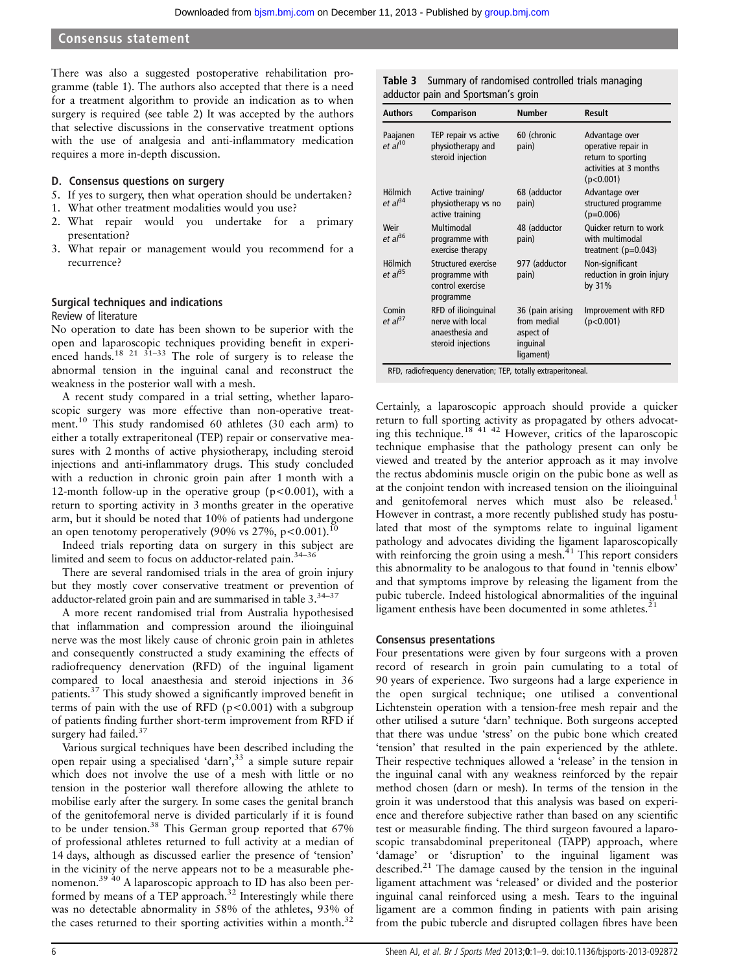There was also a suggested postoperative rehabilitation programme (table 1). The authors also accepted that there is a need for a treatment algorithm to provide an indication as to when surgery is required (see table 2) It was accepted by the authors that selective discussions in the conservative treatment options with the use of analgesia and anti-inflammatory medication requires a more in-depth discussion.

#### D. Consensus questions on surgery

- 5. If yes to surgery, then what operation should be undertaken?
- 1. What other treatment modalities would you use?
- 2. What repair would you undertake for a primary presentation?
- 3. What repair or management would you recommend for a recurrence?

#### Surgical techniques and indications Review of literature

No operation to date has been shown to be superior with the open and laparoscopic techniques providing benefit in experienced hands.<sup>18 21 31–33</sup> The role of surgery is to release the abnormal tension in the inguinal canal and reconstruct the weakness in the posterior wall with a mesh.

A recent study compared in a trial setting, whether laparoscopic surgery was more effective than non-operative treatment.<sup>10</sup> This study randomised 60 athletes (30 each arm) to either a totally extraperitoneal (TEP) repair or conservative measures with 2 months of active physiotherapy, including steroid injections and anti-inflammatory drugs. This study concluded with a reduction in chronic groin pain after 1 month with a 12-month follow-up in the operative group ( $p < 0.001$ ), with a return to sporting activity in 3 months greater in the operative arm, but it should be noted that 10% of patients had undergone an open tenotomy peroperatively (90% vs  $27\%$ , p < 0.001).<sup>10</sup>

Indeed trials reporting data on surgery in this subject are limited and seem to focus on adductor-related pain.<sup>34–36</sup>

There are several randomised trials in the area of groin injury but they mostly cover conservative treatment or prevention of adductor-related groin pain and are summarised in table 3.34–<sup>37</sup>

A more recent randomised trial from Australia hypothesised that inflammation and compression around the ilioinguinal nerve was the most likely cause of chronic groin pain in athletes and consequently constructed a study examining the effects of radiofrequency denervation (RFD) of the inguinal ligament compared to local anaesthesia and steroid injections in 36 patients.37 This study showed a significantly improved benefit in terms of pain with the use of RFD ( $p < 0.001$ ) with a subgroup of patients finding further short-term improvement from RFD if surgery had failed.<sup>37</sup>

Various surgical techniques have been described including the open repair using a specialised 'darn', <sup>33</sup> a simple suture repair which does not involve the use of a mesh with little or no tension in the posterior wall therefore allowing the athlete to mobilise early after the surgery. In some cases the genital branch of the genitofemoral nerve is divided particularly if it is found to be under tension.<sup>38</sup> This German group reported that 67% of professional athletes returned to full activity at a median of 14 days, although as discussed earlier the presence of 'tension' in the vicinity of the nerve appears not to be a measurable phenomenon.39 40 A laparoscopic approach to ID has also been performed by means of a TEP approach.<sup>32</sup> Interestingly while there was no detectable abnormality in 58% of the athletes, 93% of the cases returned to their sporting activities within a month.<sup>32</sup>

Table 3 Summary of randomised controlled trials managing adductor pain and Sportsman's groin

| <b>Authors</b>                        | Comparison                                                                       | <b>Number</b>                                                         | <b>Result</b>                                                                                      |
|---------------------------------------|----------------------------------------------------------------------------------|-----------------------------------------------------------------------|----------------------------------------------------------------------------------------------------|
| Paajanen<br>et al <sup>10</sup>       | TEP repair vs active<br>physiotherapy and<br>steroid injection                   | 60 (chronic<br>pain)                                                  | Advantage over<br>operative repair in<br>return to sporting<br>activities at 3 months<br>(p<0.001) |
| <b>Hölmich</b><br>et al <sup>34</sup> | Active training/<br>physiotherapy vs no<br>active training                       | 68 (adductor<br>pain)                                                 | Advantage over<br>structured programme<br>$(p=0.006)$                                              |
| Weir<br>$et al^{36}$                  | Multimodal<br>programme with<br>exercise therapy                                 | 48 (adductor<br>pain)                                                 | Quicker return to work<br>with multimodal<br>treatment $(p=0.043)$                                 |
| <b>Hölmich</b><br>et al <sup>35</sup> | Structured exercise<br>programme with<br>control exercise<br>programme           | 977 (adductor<br>pain)                                                | Non-significant<br>reduction in groin injury<br>by 31%                                             |
| Comin<br>et al <sup>37</sup>          | RFD of ilioinguinal<br>nerve with local<br>anaesthesia and<br>steroid injections | 36 (pain arising<br>from medial<br>aspect of<br>inguinal<br>ligament) | Improvement with RFD<br>(p<0.001)                                                                  |

RFD, radiofrequency denervation; TEP, totally extraperitoneal.

Certainly, a laparoscopic approach should provide a quicker return to full sporting activity as propagated by others advocating this technique.18 41 42 However, critics of the laparoscopic technique emphasise that the pathology present can only be viewed and treated by the anterior approach as it may involve the rectus abdominis muscle origin on the pubic bone as well as at the conjoint tendon with increased tension on the ilioinguinal and genitofemoral nerves which must also be released.<sup>1</sup> However in contrast, a more recently published study has postulated that most of the symptoms relate to inguinal ligament pathology and advocates dividing the ligament laparoscopically with reinforcing the groin using a mesh.<sup>41</sup> This report considers this abnormality to be analogous to that found in 'tennis elbow' and that symptoms improve by releasing the ligament from the pubic tubercle. Indeed histological abnormalities of the inguinal ligament enthesis have been documented in some athletes.<sup>2</sup>

## Consensus presentations

Four presentations were given by four surgeons with a proven record of research in groin pain cumulating to a total of 90 years of experience. Two surgeons had a large experience in the open surgical technique; one utilised a conventional Lichtenstein operation with a tension-free mesh repair and the other utilised a suture 'darn' technique. Both surgeons accepted that there was undue 'stress' on the pubic bone which created 'tension' that resulted in the pain experienced by the athlete. Their respective techniques allowed a 'release' in the tension in the inguinal canal with any weakness reinforced by the repair method chosen (darn or mesh). In terms of the tension in the groin it was understood that this analysis was based on experience and therefore subjective rather than based on any scientific test or measurable finding. The third surgeon favoured a laparoscopic transabdominal preperitoneal (TAPP) approach, where 'damage' or 'disruption' to the inguinal ligament was described.<sup>21</sup> The damage caused by the tension in the inguinal ligament attachment was 'released' or divided and the posterior inguinal canal reinforced using a mesh. Tears to the inguinal ligament are a common finding in patients with pain arising from the pubic tubercle and disrupted collagen fibres have been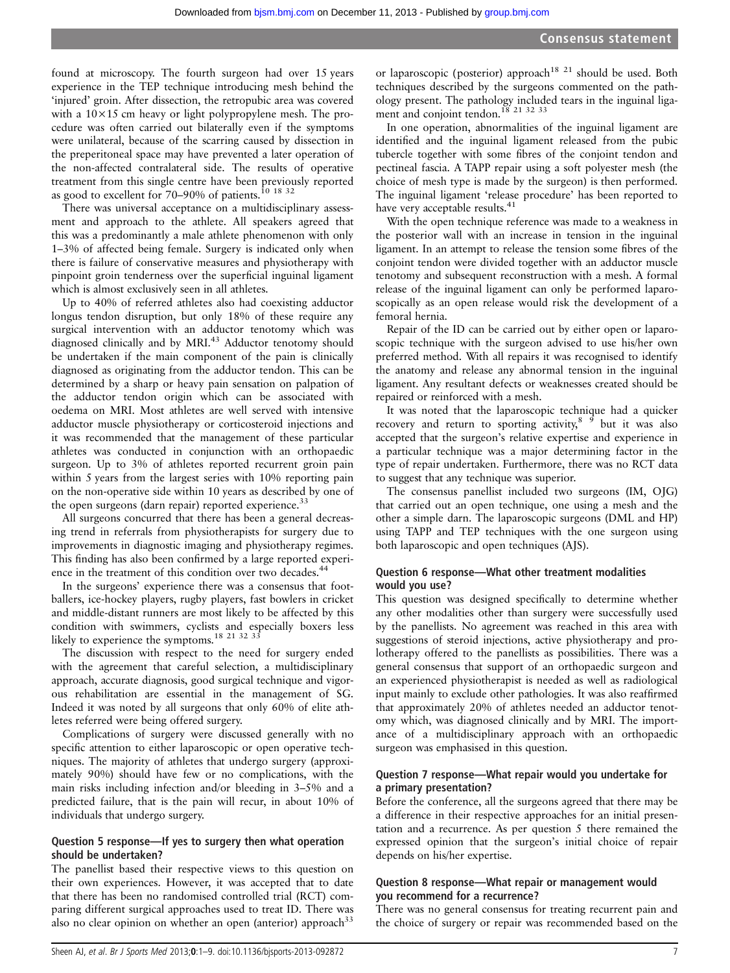found at microscopy. The fourth surgeon had over 15 years experience in the TEP technique introducing mesh behind the 'injured' groin. After dissection, the retropubic area was covered with a  $10\times15$  cm heavy or light polypropylene mesh. The procedure was often carried out bilaterally even if the symptoms were unilateral, because of the scarring caused by dissection in the preperitoneal space may have prevented a later operation of the non-affected contralateral side. The results of operative treatment from this single centre have been previously reported as good to excellent for 70–90% of patients.<sup>10</sup> <sup>18 32</sup>

There was universal acceptance on a multidisciplinary assessment and approach to the athlete. All speakers agreed that this was a predominantly a male athlete phenomenon with only 1–3% of affected being female. Surgery is indicated only when there is failure of conservative measures and physiotherapy with pinpoint groin tenderness over the superficial inguinal ligament which is almost exclusively seen in all athletes.

Up to 40% of referred athletes also had coexisting adductor longus tendon disruption, but only 18% of these require any surgical intervention with an adductor tenotomy which was diagnosed clinically and by MRI.<sup>43</sup> Adductor tenotomy should be undertaken if the main component of the pain is clinically diagnosed as originating from the adductor tendon. This can be determined by a sharp or heavy pain sensation on palpation of the adductor tendon origin which can be associated with oedema on MRI. Most athletes are well served with intensive adductor muscle physiotherapy or corticosteroid injections and it was recommended that the management of these particular athletes was conducted in conjunction with an orthopaedic surgeon. Up to 3% of athletes reported recurrent groin pain within 5 years from the largest series with 10% reporting pain on the non-operative side within 10 years as described by one of the open surgeons (darn repair) reported experience.<sup>33</sup>

All surgeons concurred that there has been a general decreasing trend in referrals from physiotherapists for surgery due to improvements in diagnostic imaging and physiotherapy regimes. This finding has also been confirmed by a large reported experience in the treatment of this condition over two decades.<sup>44</sup>

In the surgeons' experience there was a consensus that footballers, ice-hockey players, rugby players, fast bowlers in cricket and middle-distant runners are most likely to be affected by this condition with swimmers, cyclists and especially boxers less likely to experience the symptoms.<sup>18 21 32 33</sup>

The discussion with respect to the need for surgery ended with the agreement that careful selection, a multidisciplinary approach, accurate diagnosis, good surgical technique and vigorous rehabilitation are essential in the management of SG. Indeed it was noted by all surgeons that only 60% of elite athletes referred were being offered surgery.

Complications of surgery were discussed generally with no specific attention to either laparoscopic or open operative techniques. The majority of athletes that undergo surgery (approximately 90%) should have few or no complications, with the main risks including infection and/or bleeding in 3–5% and a predicted failure, that is the pain will recur, in about 10% of individuals that undergo surgery.

## Question 5 response—If yes to surgery then what operation should be undertaken?

The panellist based their respective views to this question on their own experiences. However, it was accepted that to date that there has been no randomised controlled trial (RCT) comparing different surgical approaches used to treat ID. There was also no clear opinion on whether an open (anterior) approach<sup>33</sup>

or laparoscopic (posterior) approach<sup>18 21</sup> should be used. Both techniques described by the surgeons commented on the pathology present. The pathology included tears in the inguinal ligament and conjoint tendon.<sup>18</sup> 21 32 33

In one operation, abnormalities of the inguinal ligament are identified and the inguinal ligament released from the pubic tubercle together with some fibres of the conjoint tendon and pectineal fascia. A TAPP repair using a soft polyester mesh (the choice of mesh type is made by the surgeon) is then performed. The inguinal ligament 'release procedure' has been reported to have very acceptable results.<sup>41</sup>

With the open technique reference was made to a weakness in the posterior wall with an increase in tension in the inguinal ligament. In an attempt to release the tension some fibres of the conjoint tendon were divided together with an adductor muscle tenotomy and subsequent reconstruction with a mesh. A formal release of the inguinal ligament can only be performed laparoscopically as an open release would risk the development of a femoral hernia.

Repair of the ID can be carried out by either open or laparoscopic technique with the surgeon advised to use his/her own preferred method. With all repairs it was recognised to identify the anatomy and release any abnormal tension in the inguinal ligament. Any resultant defects or weaknesses created should be repaired or reinforced with a mesh.

It was noted that the laparoscopic technique had a quicker recovery and return to sporting activity,  $8\frac{9}{9}$  but it was also accepted that the surgeon's relative expertise and experience in a particular technique was a major determining factor in the type of repair undertaken. Furthermore, there was no RCT data to suggest that any technique was superior.

The consensus panellist included two surgeons (IM, OJG) that carried out an open technique, one using a mesh and the other a simple darn. The laparoscopic surgeons (DML and HP) using TAPP and TEP techniques with the one surgeon using both laparoscopic and open techniques (AJS).

## Question 6 response—What other treatment modalities would you use?

This question was designed specifically to determine whether any other modalities other than surgery were successfully used by the panellists. No agreement was reached in this area with suggestions of steroid injections, active physiotherapy and prolotherapy offered to the panellists as possibilities. There was a general consensus that support of an orthopaedic surgeon and an experienced physiotherapist is needed as well as radiological input mainly to exclude other pathologies. It was also reaffirmed that approximately 20% of athletes needed an adductor tenotomy which, was diagnosed clinically and by MRI. The importance of a multidisciplinary approach with an orthopaedic surgeon was emphasised in this question.

## Question 7 response—What repair would you undertake for a primary presentation?

Before the conference, all the surgeons agreed that there may be a difference in their respective approaches for an initial presentation and a recurrence. As per question 5 there remained the expressed opinion that the surgeon's initial choice of repair depends on his/her expertise.

## Question 8 response—What repair or management would you recommend for a recurrence?

There was no general consensus for treating recurrent pain and the choice of surgery or repair was recommended based on the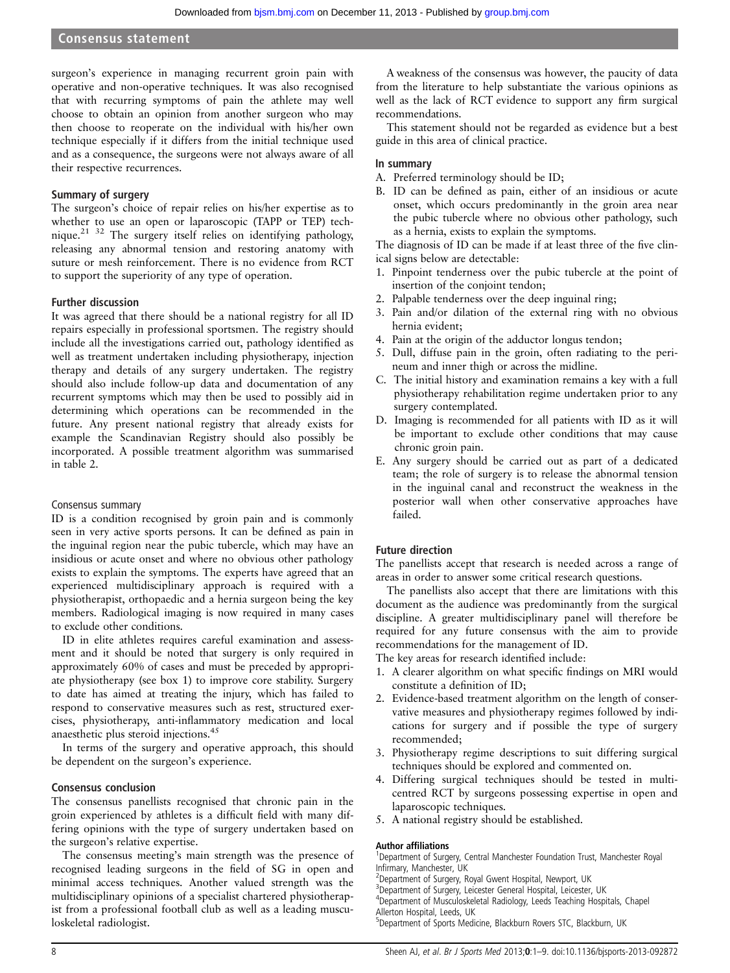surgeon's experience in managing recurrent groin pain with operative and non-operative techniques. It was also recognised that with recurring symptoms of pain the athlete may well choose to obtain an opinion from another surgeon who may then choose to reoperate on the individual with his/her own technique especially if it differs from the initial technique used and as a consequence, the surgeons were not always aware of all their respective recurrences.

## Summary of surgery

The surgeon's choice of repair relies on his/her expertise as to whether to use an open or laparoscopic (TAPP or TEP) technique.<sup>21 32</sup> The surgery itself relies on identifying pathology, releasing any abnormal tension and restoring anatomy with suture or mesh reinforcement. There is no evidence from RCT to support the superiority of any type of operation.

## Further discussion

It was agreed that there should be a national registry for all ID repairs especially in professional sportsmen. The registry should include all the investigations carried out, pathology identified as well as treatment undertaken including physiotherapy, injection therapy and details of any surgery undertaken. The registry should also include follow-up data and documentation of any recurrent symptoms which may then be used to possibly aid in determining which operations can be recommended in the future. Any present national registry that already exists for example the Scandinavian Registry should also possibly be incorporated. A possible treatment algorithm was summarised in table 2.

#### Consensus summary

ID is a condition recognised by groin pain and is commonly seen in very active sports persons. It can be defined as pain in the inguinal region near the pubic tubercle, which may have an insidious or acute onset and where no obvious other pathology exists to explain the symptoms. The experts have agreed that an experienced multidisciplinary approach is required with a physiotherapist, orthopaedic and a hernia surgeon being the key members. Radiological imaging is now required in many cases to exclude other conditions.

ID in elite athletes requires careful examination and assessment and it should be noted that surgery is only required in approximately 60% of cases and must be preceded by appropriate physiotherapy (see box 1) to improve core stability. Surgery to date has aimed at treating the injury, which has failed to respond to conservative measures such as rest, structured exercises, physiotherapy, anti-inflammatory medication and local anaesthetic plus steroid injections.45

In terms of the surgery and operative approach, this should be dependent on the surgeon's experience.

## Consensus conclusion

The consensus panellists recognised that chronic pain in the groin experienced by athletes is a difficult field with many differing opinions with the type of surgery undertaken based on the surgeon's relative expertise.

The consensus meeting's main strength was the presence of recognised leading surgeons in the field of SG in open and minimal access techniques. Another valued strength was the multidisciplinary opinions of a specialist chartered physiotherapist from a professional football club as well as a leading musculoskeletal radiologist.

A weakness of the consensus was however, the paucity of data from the literature to help substantiate the various opinions as well as the lack of RCT evidence to support any firm surgical recommendations.

This statement should not be regarded as evidence but a best guide in this area of clinical practice.

#### In summary

- A. Preferred terminology should be ID;
- B. ID can be defined as pain, either of an insidious or acute onset, which occurs predominantly in the groin area near the pubic tubercle where no obvious other pathology, such as a hernia, exists to explain the symptoms.

The diagnosis of ID can be made if at least three of the five clinical signs below are detectable:

- 1. Pinpoint tenderness over the pubic tubercle at the point of insertion of the conjoint tendon;
- 2. Palpable tenderness over the deep inguinal ring;
- 3. Pain and/or dilation of the external ring with no obvious hernia evident;
- 4. Pain at the origin of the adductor longus tendon;
- 5. Dull, diffuse pain in the groin, often radiating to the perineum and inner thigh or across the midline.
- C. The initial history and examination remains a key with a full physiotherapy rehabilitation regime undertaken prior to any surgery contemplated.
- D. Imaging is recommended for all patients with ID as it will be important to exclude other conditions that may cause chronic groin pain.
- E. Any surgery should be carried out as part of a dedicated team; the role of surgery is to release the abnormal tension in the inguinal canal and reconstruct the weakness in the posterior wall when other conservative approaches have failed.

## Future direction

The panellists accept that research is needed across a range of areas in order to answer some critical research questions.

The panellists also accept that there are limitations with this document as the audience was predominantly from the surgical discipline. A greater multidisciplinary panel will therefore be required for any future consensus with the aim to provide recommendations for the management of ID.

The key areas for research identified include:

- 1. A clearer algorithm on what specific findings on MRI would constitute a definition of ID;
- 2. Evidence-based treatment algorithm on the length of conservative measures and physiotherapy regimes followed by indications for surgery and if possible the type of surgery recommended;
- 3. Physiotherapy regime descriptions to suit differing surgical techniques should be explored and commented on.
- 4. Differing surgical techniques should be tested in multicentred RCT by surgeons possessing expertise in open and laparoscopic techniques.
- 5. A national registry should be established.

#### Author affiliations <sup>1</sup>

<sup>1</sup>Department of Surgery, Central Manchester Foundation Trust, Manchester Royal Infirmary, Manchester, UK <sup>2</sup>

<sup>2</sup>Department of Surgery, Royal Gwent Hospital, Newport, UK

<sup>3</sup>Department of Surgery, Leicester General Hospital, Leicester, UK

4 Department of Musculoskeletal Radiology, Leeds Teaching Hospitals, Chapel Allerton Hospital, Leeds, UK

5 Department of Sports Medicine, Blackburn Rovers STC, Blackburn, UK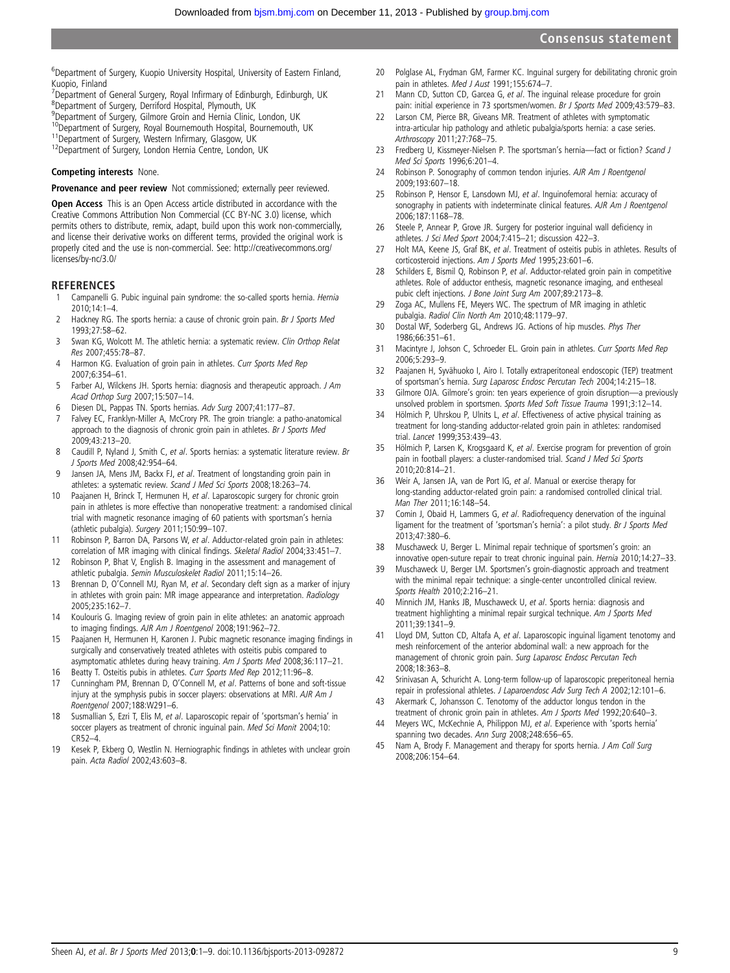<sup>6</sup>Department of Surgery, Kuopio University Hospital, University of Eastern Finland, Kuopio, Finland

- <sup>7</sup> Department of General Surgery, Royal Infirmary of Edinburgh, Edinburgh, UK<br><sup>8</sup> Department of Surgery, Derriford Hospital, Plymouth, UK
- Department of Surgery, Derriford Hospital, Plymouth, UK
- <sup>9</sup>Department of Surgery, Gilmore Groin and Hernia Clinic, London, UK
- <sup>10</sup>Department of Surgery, Royal Bournemouth Hospital, Bournemouth, UK<br><sup>11</sup>Department of Surgery, Western Infirmary, Glasgow, UK<br><sup>12</sup>Department of Surgery, London Hernia Centre, London, UK
- 
- 

#### Competing interests None.

Provenance and peer review Not commissioned; externally peer reviewed.

Open Access This is an Open Access article distributed in accordance with the Creative Commons Attribution Non Commercial (CC BY-NC 3.0) license, which permits others to distribute, remix, adapt, build upon this work non-commercially, and license their derivative works on different terms, provided the original work is properly cited and the use is non-commercial. See: [http://creativecommons.org/](http://creativecommons.org/licenses/by-nc/3.0/) [licenses/by-nc/3.0/](http://creativecommons.org/licenses/by-nc/3.0/)

#### **REFERENCES**

- Campanelli G. Pubic inguinal pain syndrome: the so-called sports hernia. Hernia  $2010:14:1-4$
- 2 Hackney RG. The sports hernia: a cause of chronic groin pain. Br J Sports Med 1993;27:58–62.
- 3 Swan KG, Wolcott M. The athletic hernia: a systematic review. Clin Orthop Relat Res 2007;455:78–87.
- 4 Harmon KG. Evaluation of groin pain in athletes. Curr Sports Med Rep 2007;6:354–61.
- 5 Farber AJ, Wilckens JH. Sports hernia: diagnosis and therapeutic approach. J Am Acad Orthop Surg 2007;15:507–14.
- 6 Diesen DL, Pappas TN. Sports hernias. Adv Surg 2007;41:177–87.<br>7 Ealvey EC, Franklyn-Miller A. McCrory PR. The groin triangle: a pat
- Falvey EC, Franklyn-Miller A, McCrory PR. The groin triangle: a patho-anatomical approach to the diagnosis of chronic groin pain in athletes. Br J Sports Med 2009;43:213–20.
- 8 Caudill P, Nyland J, Smith C, et al. Sports hernias: a systematic literature review. Br J Sports Med 2008;42:954–64.
- 9 Jansen JA, Mens JM, Backx FJ, et al. Treatment of longstanding groin pain in athletes: a systematic review. Scand J Med Sci Sports 2008;18:263–74.
- 10 Paajanen H, Brinck T, Hermunen H, et al. Laparoscopic surgery for chronic groin pain in athletes is more effective than nonoperative treatment: a randomised clinical trial with magnetic resonance imaging of 60 patients with sportsman's hernia (athletic pubalgia). Surgery 2011;150:99–107.
- 11 Robinson P, Barron DA, Parsons W, et al. Adductor-related groin pain in athletes: correlation of MR imaging with clinical findings. Skeletal Radiol 2004;33:451–7.
- 12 Robinson P, Bhat V, English B. Imaging in the assessment and management of athletic pubalgia. Semin Musculoskelet Radiol 2011;15:14–26.
- 13 Brennan D, O'Connell MJ, Ryan M, et al. Secondary cleft sign as a marker of injury in athletes with groin pain: MR image appearance and interpretation. Radiology 2005;235:162–7.
- 14 Koulouris G. Imaging review of groin pain in elite athletes: an anatomic approach to imaging findings. AJR Am J Roentgenol 2008;191:962–72.
- 15 Paajanen H, Hermunen H, Karonen J. Pubic magnetic resonance imaging findings in surgically and conservatively treated athletes with osteitis pubis compared to asymptomatic athletes during heavy training. Am J Sports Med 2008;36:117–21.
- 16 Beatty T. Osteitis pubis in athletes. Curr Sports Med Rep 2012;11:96-8.
- 17 Cunningham PM, Brennan D, O'Connell M, et al. Patterns of bone and soft-tissue injury at the symphysis pubis in soccer players: observations at MRI. AJR Am J Roentgenol 2007;188:W291–6.
- 18 Susmallian S, Ezri T, Elis M, et al. Laparoscopic repair of 'sportsman's hernia' in soccer players as treatment of chronic inguinal pain. Med Sci Monit 2004;10: CR52–4.
- 19 Kesek P, Ekberg O, Westlin N. Herniographic findings in athletes with unclear groin pain. Acta Radiol 2002;43:603–8.
- 20 Polglase AL, Frydman GM, Farmer KC. Inguinal surgery for debilitating chronic groin pain in athletes. Med J Aust 1991;155:674-7.
- 21 Mann CD, Sutton CD, Garcea G, et al. The inguinal release procedure for groin pain: initial experience in 73 sportsmen/women. Br J Sports Med 2009;43:579-83.
- 22 Larson CM, Pierce BR, Giveans MR. Treatment of athletes with symptomatic intra-articular hip pathology and athletic pubalgia/sports hernia: a case series. Arthroscopy 2011;27:768–75.
- 23 Fredberg U, Kissmeyer-Nielsen P. The sportsman's hernia—fact or fiction? Scand J Med Sci Sports 1996;6:201–4.
- 24 Robinson P. Sonography of common tendon injuries. AJR Am J Roentgenol 2009;193:607–18.
- 25 Robinson P, Hensor E, Lansdown MJ, et al. Inguinofemoral hernia: accuracy of sonography in patients with indeterminate clinical features. AJR Am J Roentgenol 2006;187:1168–78.
- 26 Steele P, Annear P, Grove JR. Surgery for posterior inguinal wall deficiency in athletes. J Sci Med Sport 2004;7:415–21; discussion 422–3.
- 27 Holt MA, Keene JS, Graf BK, et al. Treatment of osteitis pubis in athletes. Results of corticosteroid injections. Am J Sports Med 1995;23:601–6.
- 28 Schilders E, Bismil Q, Robinson P, et al. Adductor-related groin pain in competitive athletes. Role of adductor enthesis, magnetic resonance imaging, and entheseal pubic cleft injections. J Bone Joint Surg Am 2007;89:2173–8.
- 29 Zoga AC, Mullens FE, Meyers WC. The spectrum of MR imaging in athletic pubalgia. Radiol Clin North Am 2010;48:1179–97.
- 30 Dostal WF, Soderberg GL, Andrews JG. Actions of hip muscles. Phys Ther 1986;66:351–61.
- 31 Macintyre J, Johson C, Schroeder EL. Groin pain in athletes. Curr Sports Med Rep 2006;5:293–9.
- 32 Paajanen H, Syvähuoko I, Airo I. Totally extraperitoneal endoscopic (TEP) treatment of sportsman's hernia. Surg Laparosc Endosc Percutan Tech 2004;14:215–18.
- 33 Gilmore OJA. Gilmore's groin: ten years experience of groin disruption—a previously unsolved problem in sportsmen. Sports Med Soft Tissue Trauma 1991;3:12–14.
- 34 Hölmich P, Uhrskou P, Ulnits L, et al. Effectiveness of active physical training as treatment for long-standing adductor-related groin pain in athletes: randomised trial. Lancet 1999;353:439–43.
- 35 Hölmich P, Larsen K, Krogsgaard K, et al. Exercise program for prevention of groin pain in football players: a cluster-randomised trial. Scand J Med Sci Sports 2010;20:814–21.
- 36 Weir A, Jansen JA, van de Port IG, et al. Manual or exercise therapy for long-standing adductor-related groin pain: a randomised controlled clinical trial. Man Ther 2011;16:148–54.
- 37 Comin J, Obaid H, Lammers G, et al. Radiofrequency denervation of the inguinal ligament for the treatment of 'sportsman's hernia': a pilot study. Br J Sports Med 2013;47:380–6.
- 38 Muschaweck U, Berger L. Minimal repair technique of sportsmen's groin: an innovative open-suture repair to treat chronic inguinal pain. Hernia 2010;14:27–33.
- 39 Muschaweck U, Berger LM. Sportsmen's groin-diagnostic approach and treatment with the minimal repair technique: a single-center uncontrolled clinical review. Sports Health 2010;2:216–21.
- 40 Minnich JM, Hanks JB, Muschaweck U, et al. Sports hernia: diagnosis and treatment highlighting a minimal repair surgical technique. Am J Sports Med 2011;39:1341–9.
- 41 Lloyd DM, Sutton CD, Altafa A, et al. Laparoscopic inguinal ligament tenotomy and mesh reinforcement of the anterior abdominal wall: a new approach for the management of chronic groin pain. Surg Laparosc Endosc Percutan Tech 2008;18:363–8.
- 42 Srinivasan A, Schuricht A. Long-term follow-up of laparoscopic preperitoneal hernia repair in professional athletes. J Laparoendosc Adv Surg Tech A 2002;12:101–6.
- 43 Akermark C, Johansson C. Tenotomy of the adductor longus tendon in the treatment of chronic groin pain in athletes. Am J Sports Med 1992;20:640-3.
- 44 Meyers WC, McKechnie A, Philippon MJ, et al. Experience with 'sports hernia' spanning two decades. Ann Surg 2008;248:656–65.
- 45 Nam A, Brody F. Management and therapy for sports hernia. J Am Coll Surg 2008;206:154–64.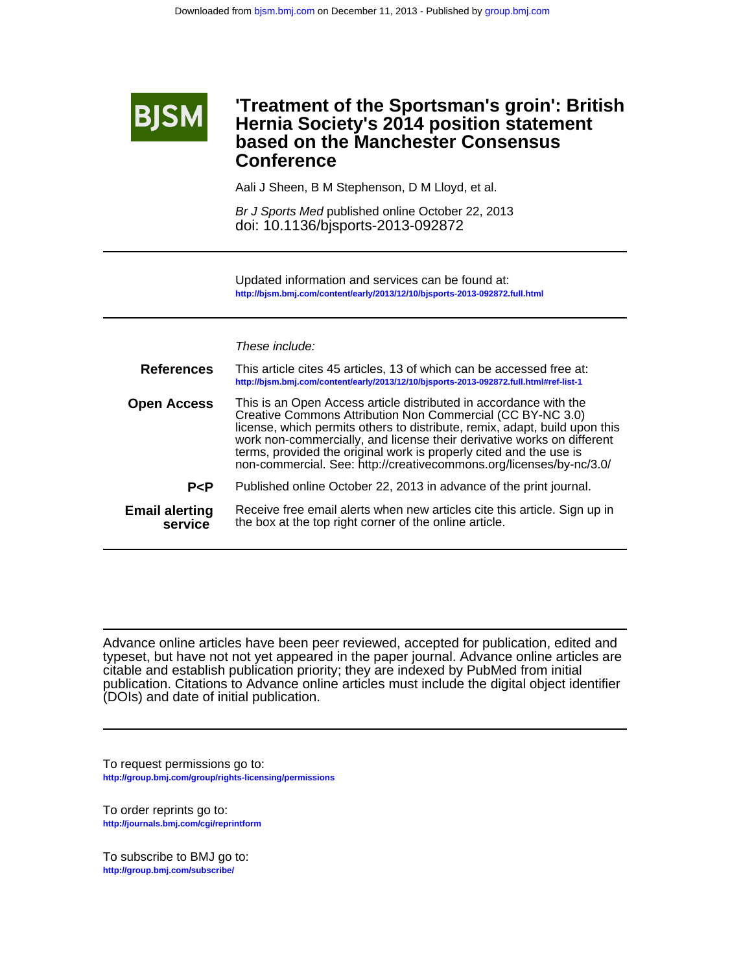

## **Conference based on the Manchester Consensus Hernia Society's 2014 position statement 'Treatment of the Sportsman's groin': British**

Aali J Sheen, B M Stephenson, D M Lloyd, et al.

doi: 10.1136/bjsports-2013-092872 Br J Sports Med published online October 22, 2013

**<http://bjsm.bmj.com/content/early/2013/12/10/bjsports-2013-092872.full.html>** Updated information and services can be found at:

These include:

| <b>References</b>                | This article cites 45 articles, 13 of which can be accessed free at:<br>http://bjsm.bmj.com/content/early/2013/12/10/bjsports-2013-092872.full.html#ref-list-1                                                                                                                                                                                                                                                                       |
|----------------------------------|--------------------------------------------------------------------------------------------------------------------------------------------------------------------------------------------------------------------------------------------------------------------------------------------------------------------------------------------------------------------------------------------------------------------------------------|
| <b>Open Access</b>               | This is an Open Access article distributed in accordance with the<br>Creative Commons Attribution Non Commercial (CC BY-NC 3.0)<br>license, which permits others to distribute, remix, adapt, build upon this<br>work non-commercially, and license their derivative works on different<br>terms, provided the original work is properly cited and the use is<br>non-commercial. See: http://creativecommons.org/licenses/by-nc/3.0/ |
| P < P                            | Published online October 22, 2013 in advance of the print journal.                                                                                                                                                                                                                                                                                                                                                                   |
| <b>Email alerting</b><br>service | Receive free email alerts when new articles cite this article. Sign up in<br>the box at the top right corner of the online article.                                                                                                                                                                                                                                                                                                  |

(DOIs) and date of initial publication. publication. Citations to Advance online articles must include the digital object identifier citable and establish publication priority; they are indexed by PubMed from initial typeset, but have not not yet appeared in the paper journal. Advance online articles are Advance online [articles have been peer revie](http://journals.bmj.com/cgi/reprintform)wed, accepted for publication, edited and

**<http://group.bmj.com/group/rights-licensing/permissions>** To request permissions go to:

**<http://journals.bmj.com/cgi/reprintform>** To order reprints go to:

**<http://group.bmj.com/subscribe/>** To subscribe to BMJ go to: